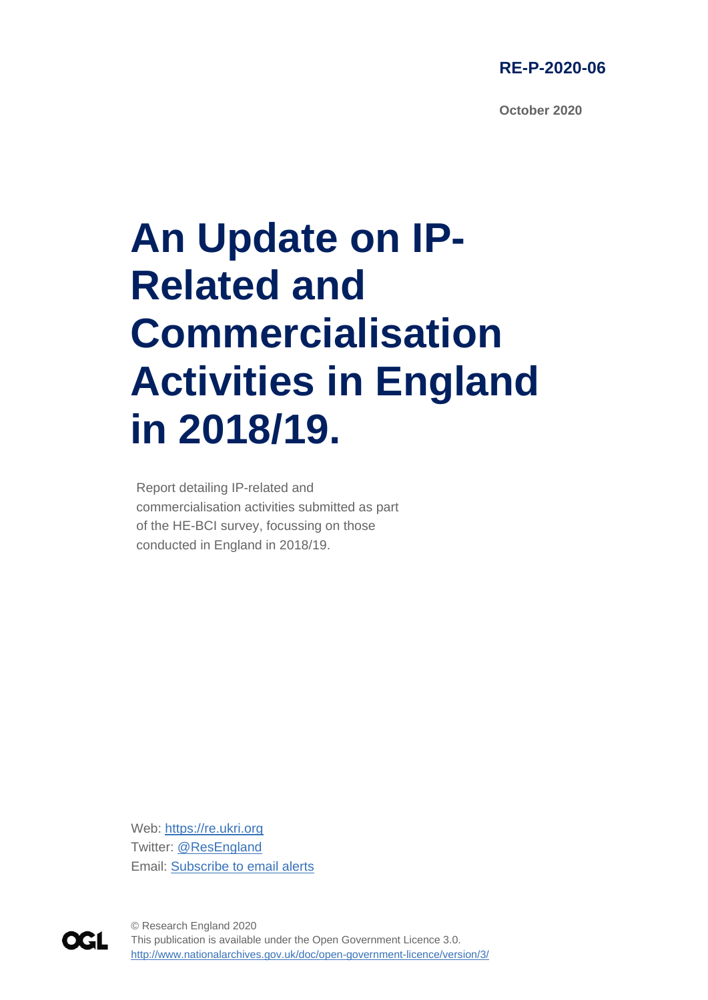

**October 2020**

# **An Update on IP-Related and Commercialisation Activities in England in 2018/19.**

Report detailing IP-related and commercialisation activities submitted as part of the HE-BCI survey, focussing on those conducted in England in 2018/19.

Web: [https://re.ukri.org](https://re.ukri.org/) Twitter: [@ResEngland](https://twitter.com/ResEngland) Email: [Subscribe to email alerts](https://www.jiscmail.ac.uk/cgi-bin/webadmin?SUBED1=RESEARCH-ENGLAND-NEWS&A=1)



1 This publication is available under the Open Government Licence 3.0. © Research England 2020 <http://www.nationalarchives.gov.uk/doc/open-government-licence/version/3/>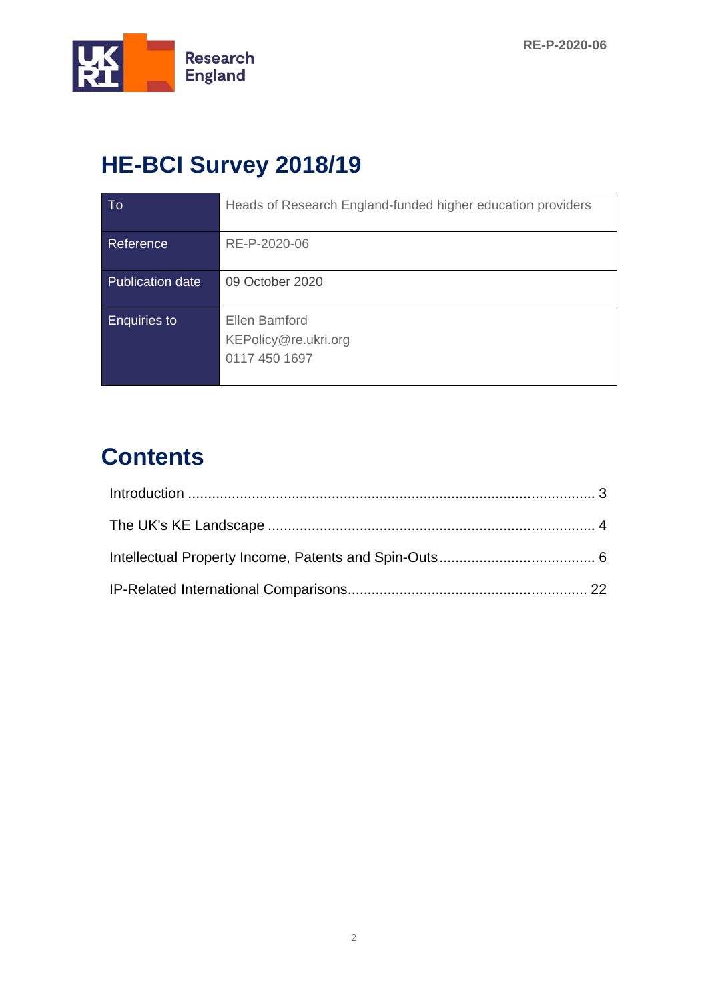

# **HE-BCI Survey 2018/19**

| To                      | Heads of Research England-funded higher education providers |
|-------------------------|-------------------------------------------------------------|
| Reference               | RE-P-2020-06                                                |
| <b>Publication date</b> | 09 October 2020                                             |
| <b>Enquiries to</b>     | Ellen Bamford<br>KEPolicy@re.ukri.org<br>0117 450 1697      |

# **Contents**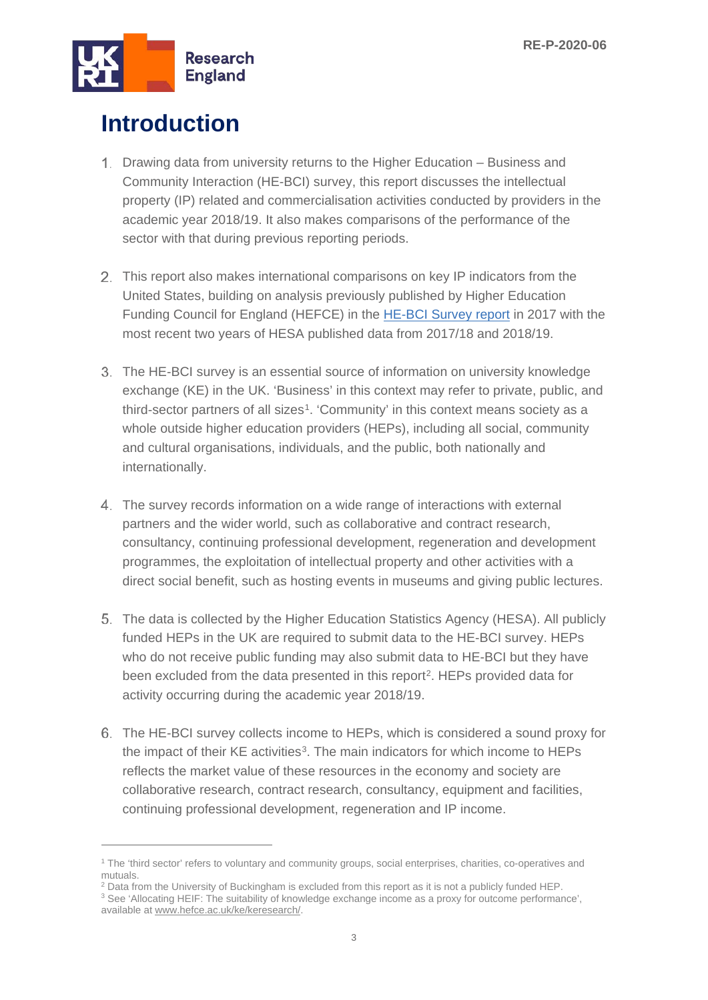

# <span id="page-2-0"></span>**Introduction**

- Drawing data from university returns to the Higher Education Business and Community Interaction (HE-BCI) survey, this report discusses the intellectual property (IP) related and commercialisation activities conducted by providers in the academic year 2018/19. It also makes comparisons of the performance of the sector with that during previous reporting periods.
- 2. This report also makes international comparisons on key IP indicators from the United States, building on analysis previously published by Higher Education Funding Council for England (HEFCE) in the [HE-BCI Survey report](https://webarchive.nationalarchives.gov.uk/20180405115206/http:/www.hefce.ac.uk/pubs/year/2017/201723/) in 2017 with the most recent two years of HESA published data from 2017/18 and 2018/19.
- The HE-BCI survey is an essential source of information on university knowledge exchange (KE) in the UK. 'Business' in this context may refer to private, public, and third-sector partners of all sizes[1](#page-2-1). 'Community' in this context means society as a whole outside higher education providers (HEPs), including all social, community and cultural organisations, individuals, and the public, both nationally and internationally.
- The survey records information on a wide range of interactions with external partners and the wider world, such as collaborative and contract research, consultancy, continuing professional development, regeneration and development programmes, the exploitation of intellectual property and other activities with a direct social benefit, such as hosting events in museums and giving public lectures.
- The data is collected by the Higher Education Statistics Agency (HESA). All publicly funded HEPs in the UK are required to submit data to the HE-BCI survey. HEPs who do not receive public funding may also submit data to HE-BCI but they have been excluded from the data presented in this report[2](#page-2-2). HEPs provided data for activity occurring during the academic year 2018/19.
- The HE-BCI survey collects income to HEPs, which is considered a sound proxy for the impact of their KE activities<sup>3</sup>. The main indicators for which income to HEPs reflects the market value of these resources in the economy and society are collaborative research, contract research, consultancy, equipment and facilities, continuing professional development, regeneration and IP income.

<span id="page-2-1"></span><sup>1</sup> The 'third sector' refers to voluntary and community groups, social enterprises, charities, co-operatives and mutuals.

<span id="page-2-2"></span> $2$  Data from the University of Buckingham is excluded from this report as it is not a publicly funded HEP.

<span id="page-2-3"></span><sup>&</sup>lt;sup>3</sup> See 'Allocating HEIF: The suitability of knowledge exchange income as a proxy for outcome performance', available at www.hefce.ac.uk/ke/keresearch/.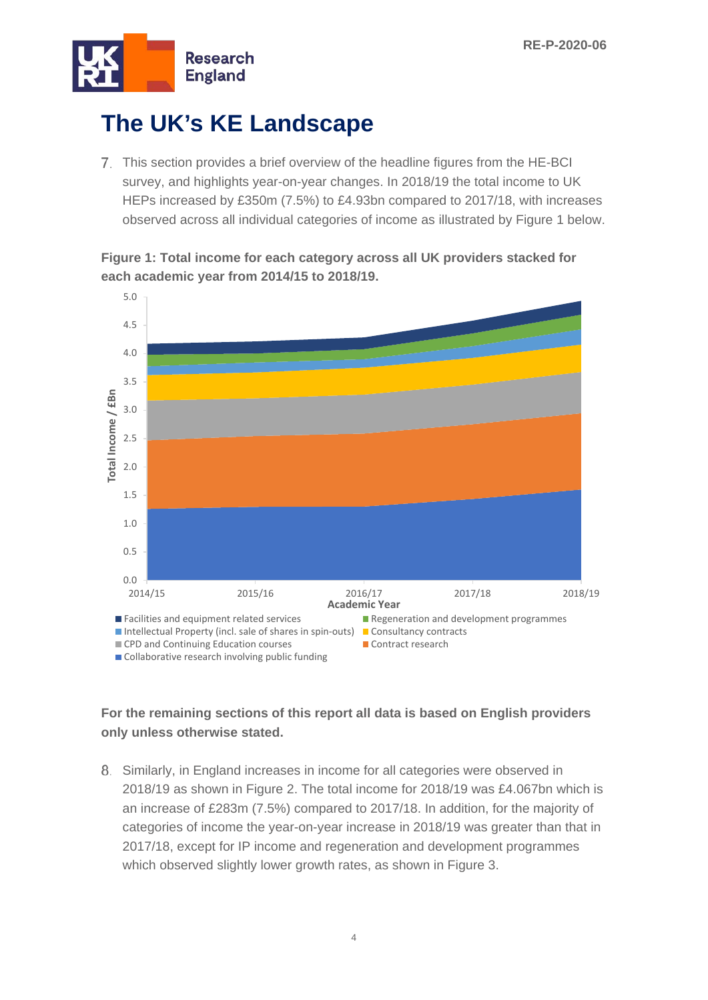

# <span id="page-3-0"></span>**The UK's KE Landscape**

Collaborative research involving public funding

7. This section provides a brief overview of the headline figures from the HE-BCI survey, and highlights year-on-year changes. In 2018/19 the total income to UK HEPs increased by £350m (7.5%) to £4.93bn compared to 2017/18, with increases observed across all individual categories of income as illustrated by Figure 1 below.

5.0 4.5 4.0 3.5 Total Income / £Bn **Total Income / £Bn** 3.0 2.5 2.0 1.5 1.0 0.5 0.0 2014/15 2015/16 2016/17 2017/18 2018/19 **Academic Year Facilities and equipment related services Regeneration and development programmes** Intellectual Property (incl. sale of shares in spin-outs)  $\Box$  Consultancy contracts CPD and Continuing Education courses Contract research

**Figure 1: Total income for each category across all UK providers stacked for each academic year from 2014/15 to 2018/19.**

#### **For the remaining sections of this report all data is based on English providers only unless otherwise stated.**

8. Similarly, in England increases in income for all categories were observed in 2018/19 as shown in Figure 2. The total income for 2018/19 was £4.067bn which is an increase of £283m (7.5%) compared to 2017/18. In addition, for the majority of categories of income the year-on-year increase in 2018/19 was greater than that in 2017/18, except for IP income and regeneration and development programmes which observed slightly lower growth rates, as shown in Figure 3.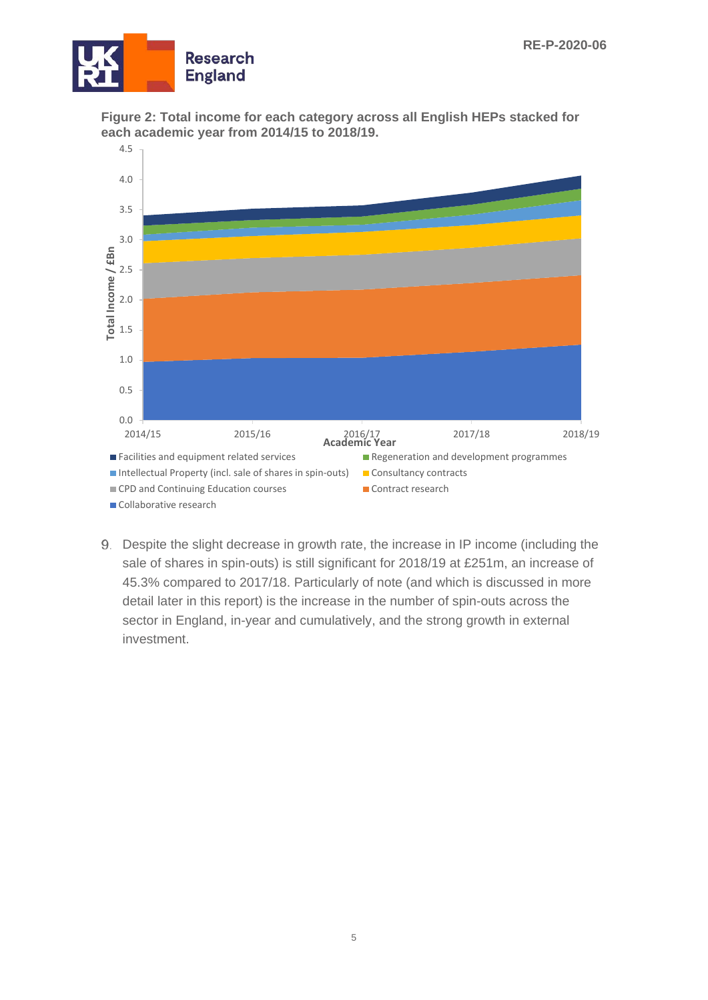





Despite the slight decrease in growth rate, the increase in IP income (including the sale of shares in spin-outs) is still significant for 2018/19 at £251m, an increase of 45.3% compared to 2017/18. Particularly of note (and which is discussed in more detail later in this report) is the increase in the number of spin-outs across the sector in England, in-year and cumulatively, and the strong growth in external investment.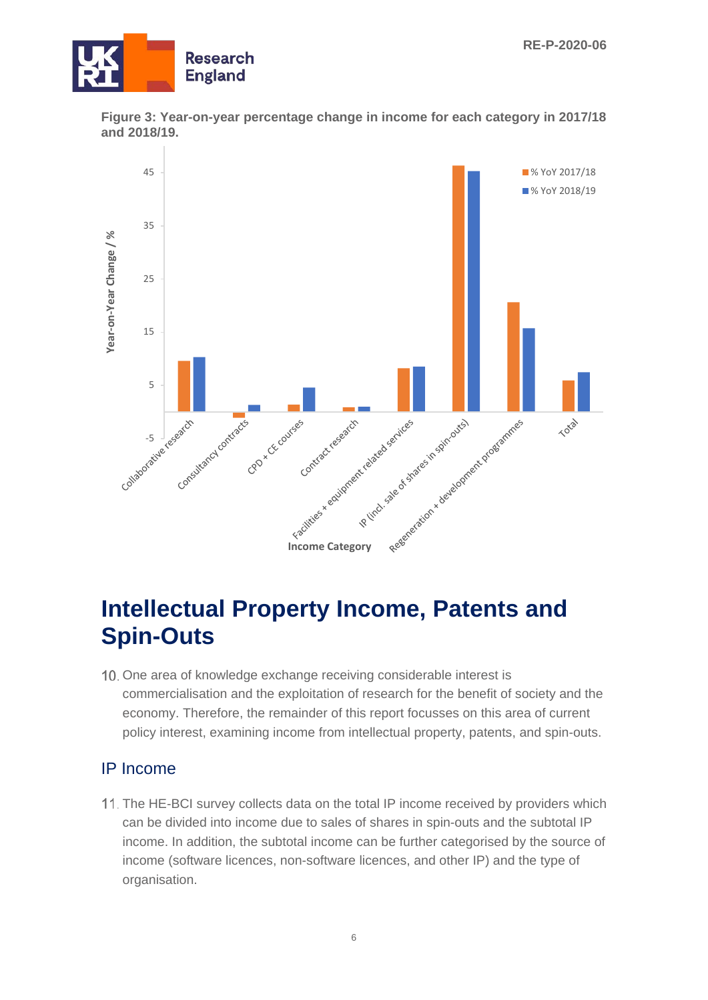





### <span id="page-5-0"></span>**Intellectual Property Income, Patents and Spin-Outs**

10. One area of knowledge exchange receiving considerable interest is commercialisation and the exploitation of research for the benefit of society and the economy. Therefore, the remainder of this report focusses on this area of current policy interest, examining income from intellectual property, patents, and spin-outs.

#### IP Income

11. The HE-BCI survey collects data on the total IP income received by providers which can be divided into income due to sales of shares in spin-outs and the subtotal IP income. In addition, the subtotal income can be further categorised by the source of income (software licences, non-software licences, and other IP) and the type of organisation.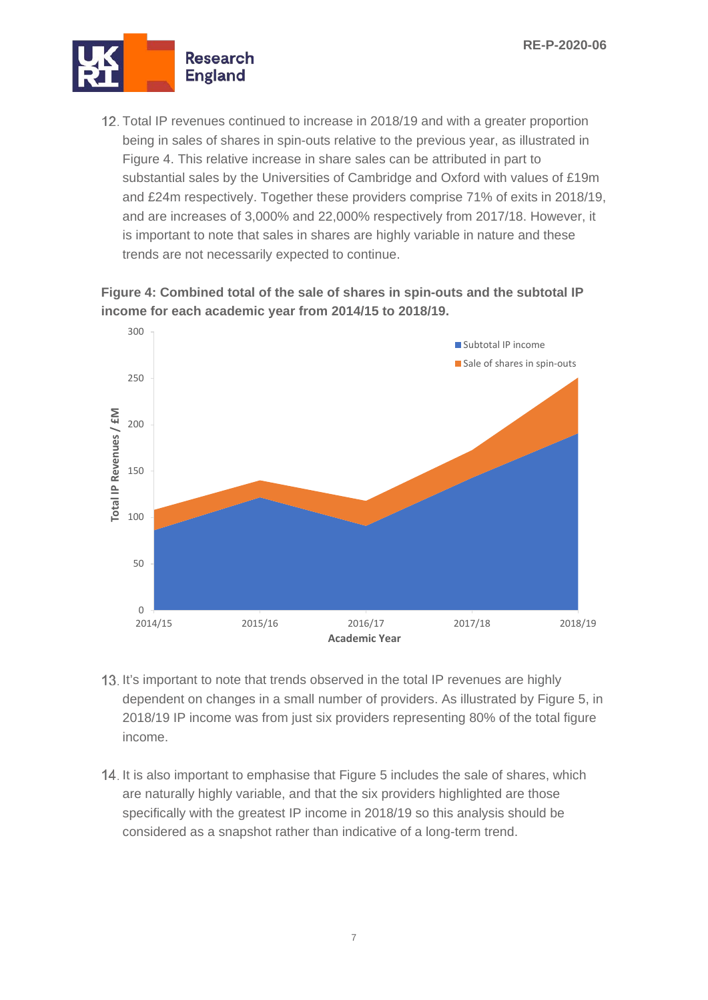

12. Total IP revenues continued to increase in 2018/19 and with a greater proportion being in sales of shares in spin-outs relative to the previous year, as illustrated in Figure 4. This relative increase in share sales can be attributed in part to substantial sales by the Universities of Cambridge and Oxford with values of £19m and £24m respectively. Together these providers comprise 71% of exits in 2018/19, and are increases of 3,000% and 22,000% respectively from 2017/18. However, it is important to note that sales in shares are highly variable in nature and these trends are not necessarily expected to continue.

**Figure 4: Combined total of the sale of shares in spin-outs and the subtotal IP income for each academic year from 2014/15 to 2018/19.**



- 13. It's important to note that trends observed in the total IP revenues are highly dependent on changes in a small number of providers. As illustrated by Figure 5, in 2018/19 IP income was from just six providers representing 80% of the total figure income.
- 14. It is also important to emphasise that Figure 5 includes the sale of shares, which are naturally highly variable, and that the six providers highlighted are those specifically with the greatest IP income in 2018/19 so this analysis should be considered as a snapshot rather than indicative of a long-term trend.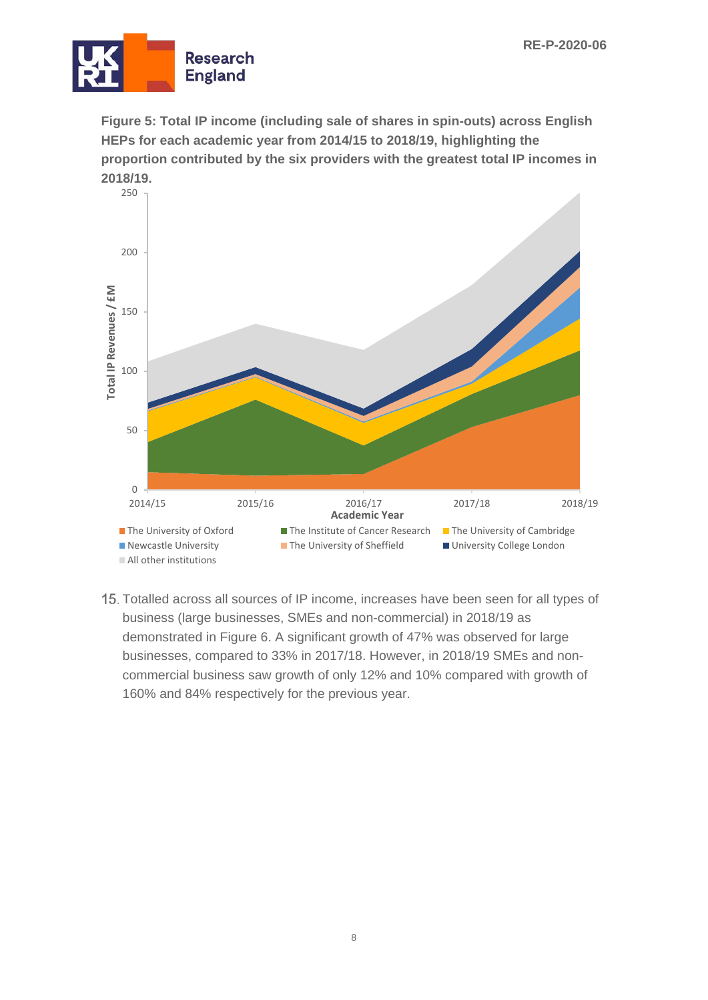

**Figure 5: Total IP income (including sale of shares in spin-outs) across English HEPs for each academic year from 2014/15 to 2018/19, highlighting the proportion contributed by the six providers with the greatest total IP incomes in 2018/19.**



15. Totalled across all sources of IP income, increases have been seen for all types of business (large businesses, SMEs and non-commercial) in 2018/19 as demonstrated in Figure 6. A significant growth of 47% was observed for large businesses, compared to 33% in 2017/18. However, in 2018/19 SMEs and noncommercial business saw growth of only 12% and 10% compared with growth of 160% and 84% respectively for the previous year.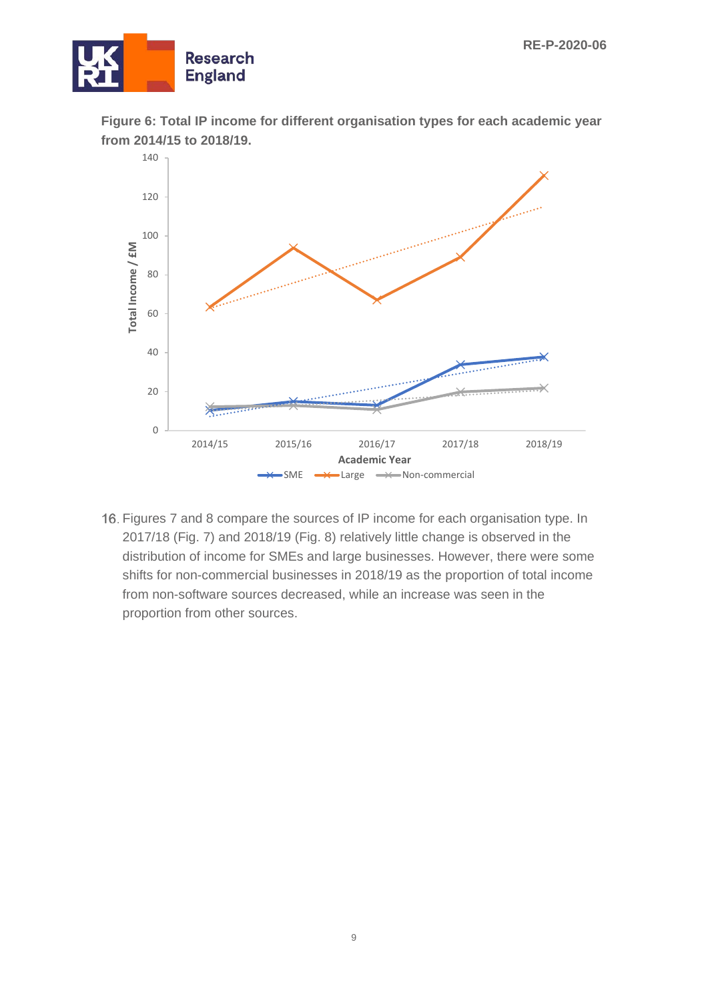





16. Figures 7 and 8 compare the sources of IP income for each organisation type. In 2017/18 (Fig. 7) and 2018/19 (Fig. 8) relatively little change is observed in the distribution of income for SMEs and large businesses. However, there were some shifts for non-commercial businesses in 2018/19 as the proportion of total income from non-software sources decreased, while an increase was seen in the proportion from other sources.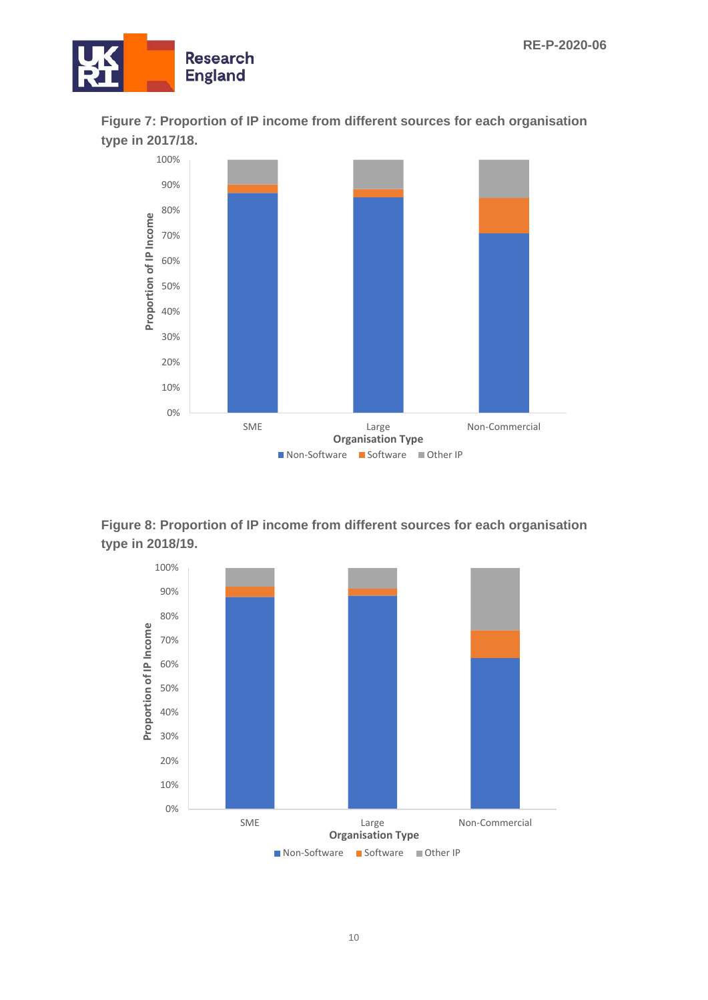





**Figure 8: Proportion of IP income from different sources for each organisation type in 2018/19.**

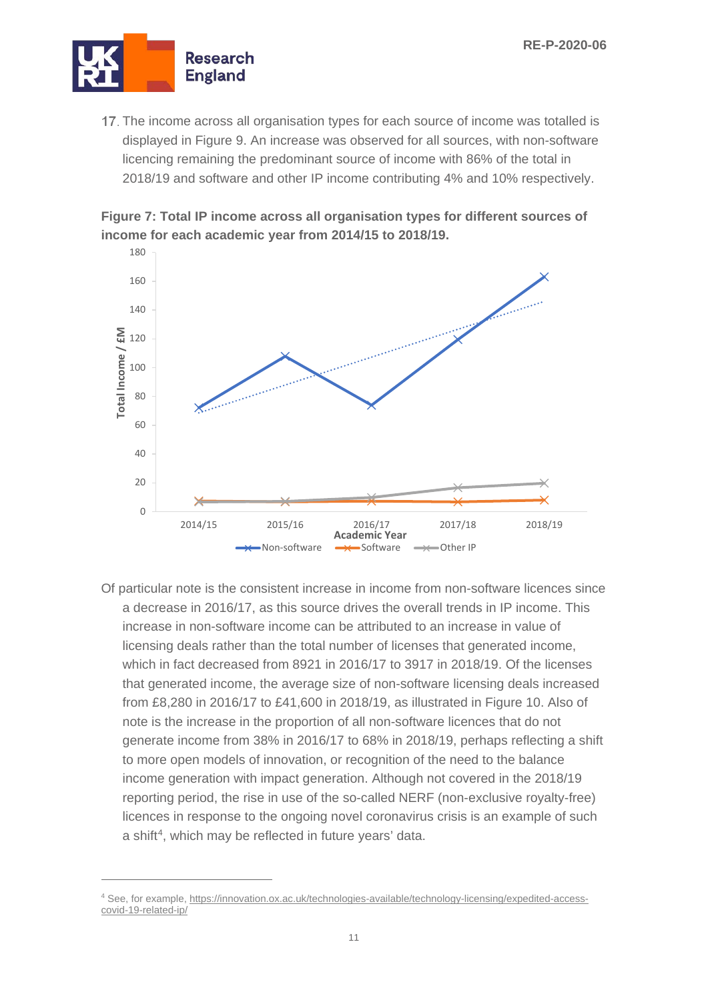

17. The income across all organisation types for each source of income was totalled is displayed in Figure 9. An increase was observed for all sources, with non-software licencing remaining the predominant source of income with 86% of the total in 2018/19 and software and other IP income contributing 4% and 10% respectively.

**Figure 7: Total IP income across all organisation types for different sources of income for each academic year from 2014/15 to 2018/19.**



Of particular note is the consistent increase in income from non-software licences since a decrease in 2016/17, as this source drives the overall trends in IP income. This increase in non-software income can be attributed to an increase in value of licensing deals rather than the total number of licenses that generated income, which in fact decreased from 8921 in 2016/17 to 3917 in 2018/19. Of the licenses that generated income, the average size of non-software licensing deals increased from £8,280 in 2016/17 to £41,600 in 2018/19, as illustrated in Figure 10. Also of note is the increase in the proportion of all non-software licences that do not generate income from 38% in 2016/17 to 68% in 2018/19, perhaps reflecting a shift to more open models of innovation, or recognition of the need to the balance income generation with impact generation. Although not covered in the 2018/19 reporting period, the rise in use of the so-called NERF (non-exclusive royalty-free) licences in response to the ongoing novel coronavirus crisis is an example of such a shift<sup>4</sup>, which may be reflected in future years' data.

<span id="page-10-0"></span><sup>4</sup> See, for example[, https://innovation.ox.ac.uk/technologies-available/technology-licensing/expedited-access](https://innovation.ox.ac.uk/technologies-available/technology-licensing/expedited-access-covid-19-related-ip/)[covid-19-related-ip/](https://innovation.ox.ac.uk/technologies-available/technology-licensing/expedited-access-covid-19-related-ip/)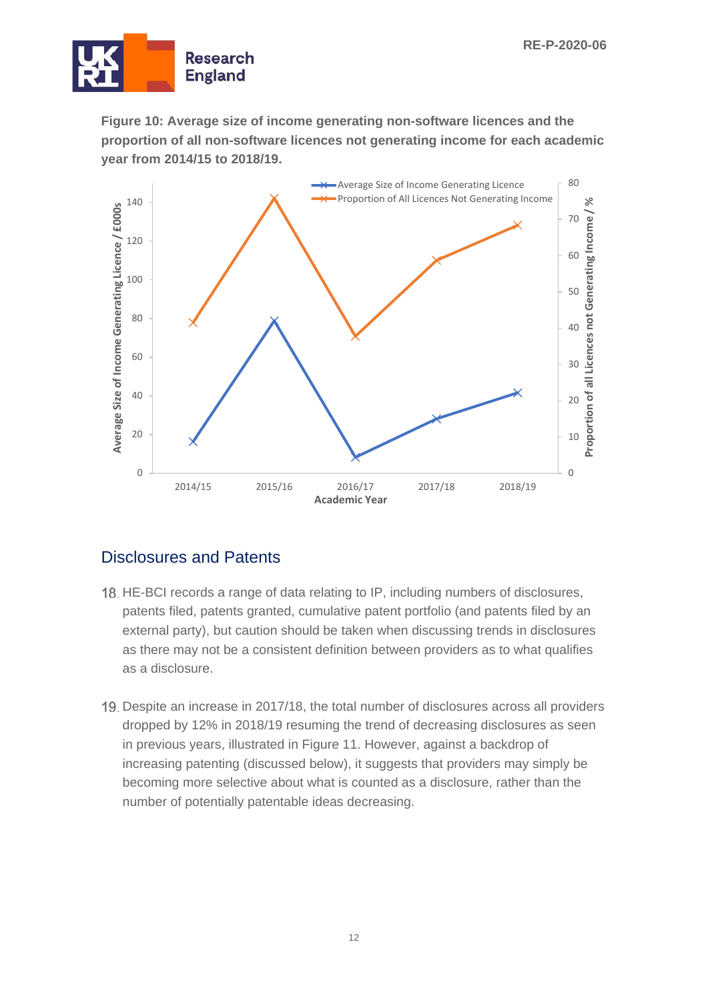

**Figure 10: Average size of income generating non-software licences and the proportion of all non-software licences not generating income for each academic year from 2014/15 to 2018/19.**



#### Disclosures and Patents

- 18. HE-BCI records a range of data relating to IP, including numbers of disclosures, patents filed, patents granted, cumulative patent portfolio (and patents filed by an external party), but caution should be taken when discussing trends in disclosures as there may not be a consistent definition between providers as to what qualifies as a disclosure.
- 19. Despite an increase in 2017/18, the total number of disclosures across all providers dropped by 12% in 2018/19 resuming the trend of decreasing disclosures as seen in previous years, illustrated in Figure 11. However, against a backdrop of increasing patenting (discussed below), it suggests that providers may simply be becoming more selective about what is counted as a disclosure, rather than the number of potentially patentable ideas decreasing.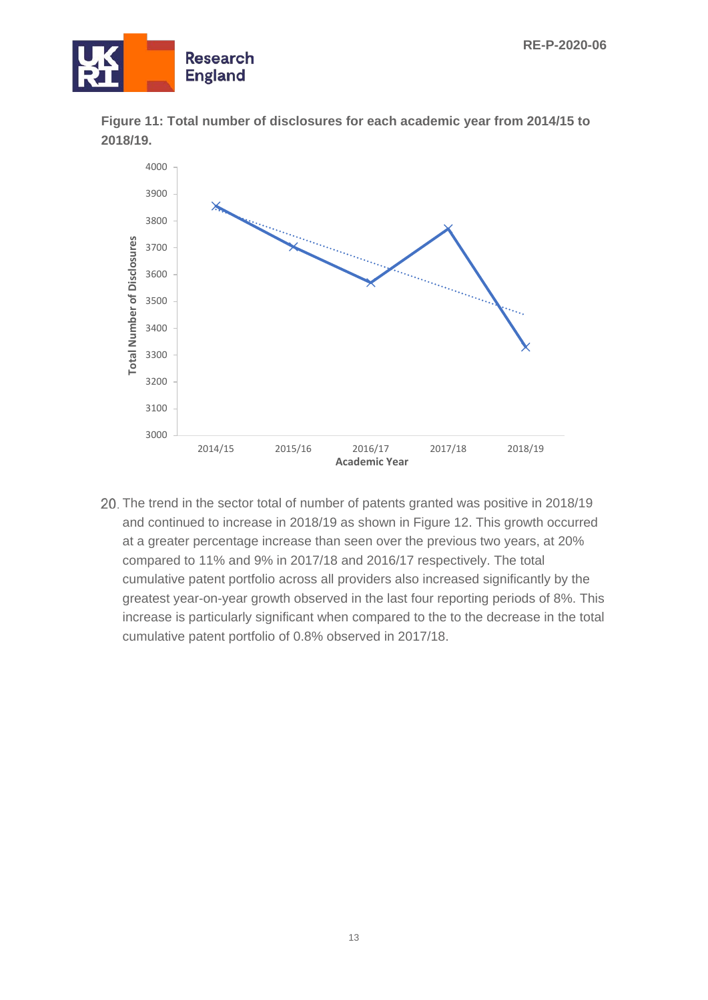



**Figure 11: Total number of disclosures for each academic year from 2014/15 to 2018/19.**

20. The trend in the sector total of number of patents granted was positive in 2018/19 and continued to increase in 2018/19 as shown in Figure 12. This growth occurred at a greater percentage increase than seen over the previous two years, at 20% compared to 11% and 9% in 2017/18 and 2016/17 respectively. The total cumulative patent portfolio across all providers also increased significantly by the greatest year-on-year growth observed in the last four reporting periods of 8%. This increase is particularly significant when compared to the to the decrease in the total cumulative patent portfolio of 0.8% observed in 2017/18.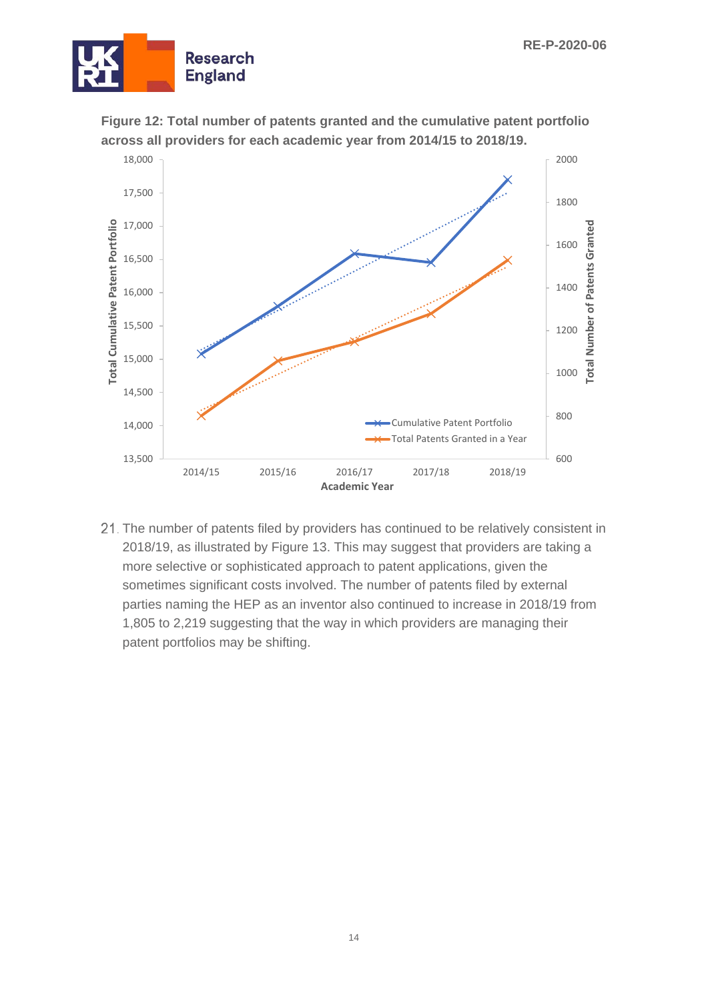



**Figure 12: Total number of patents granted and the cumulative patent portfolio across all providers for each academic year from 2014/15 to 2018/19.**

21. The number of patents filed by providers has continued to be relatively consistent in 2018/19, as illustrated by Figure 13. This may suggest that providers are taking a more selective or sophisticated approach to patent applications, given the sometimes significant costs involved. The number of patents filed by external parties naming the HEP as an inventor also continued to increase in 2018/19 from 1,805 to 2,219 suggesting that the way in which providers are managing their patent portfolios may be shifting.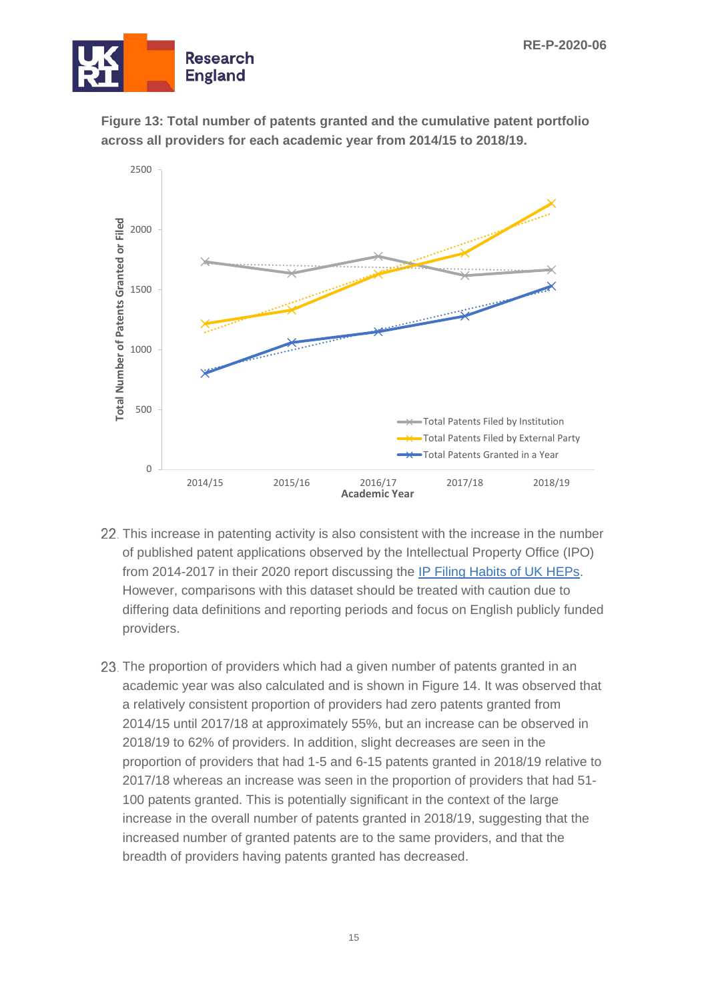





- 22. This increase in patenting activity is also consistent with the increase in the number of published patent applications observed by the Intellectual Property Office (IPO) from 2014-2017 in their 2020 report discussing the [IP Filing Habits of UK HEPs.](https://assets.publishing.service.gov.uk/government/uploads/system/uploads/attachment_data/file/887908/ip-filings-habits-of-uk-higher-education-institutions.pdf) However, comparisons with this dataset should be treated with caution due to differing data definitions and reporting periods and focus on English publicly funded providers.
- 23. The proportion of providers which had a given number of patents granted in an academic year was also calculated and is shown in Figure 14. It was observed that a relatively consistent proportion of providers had zero patents granted from 2014/15 until 2017/18 at approximately 55%, but an increase can be observed in 2018/19 to 62% of providers. In addition, slight decreases are seen in the proportion of providers that had 1-5 and 6-15 patents granted in 2018/19 relative to 2017/18 whereas an increase was seen in the proportion of providers that had 51- 100 patents granted. This is potentially significant in the context of the large increase in the overall number of patents granted in 2018/19, suggesting that the increased number of granted patents are to the same providers, and that the breadth of providers having patents granted has decreased.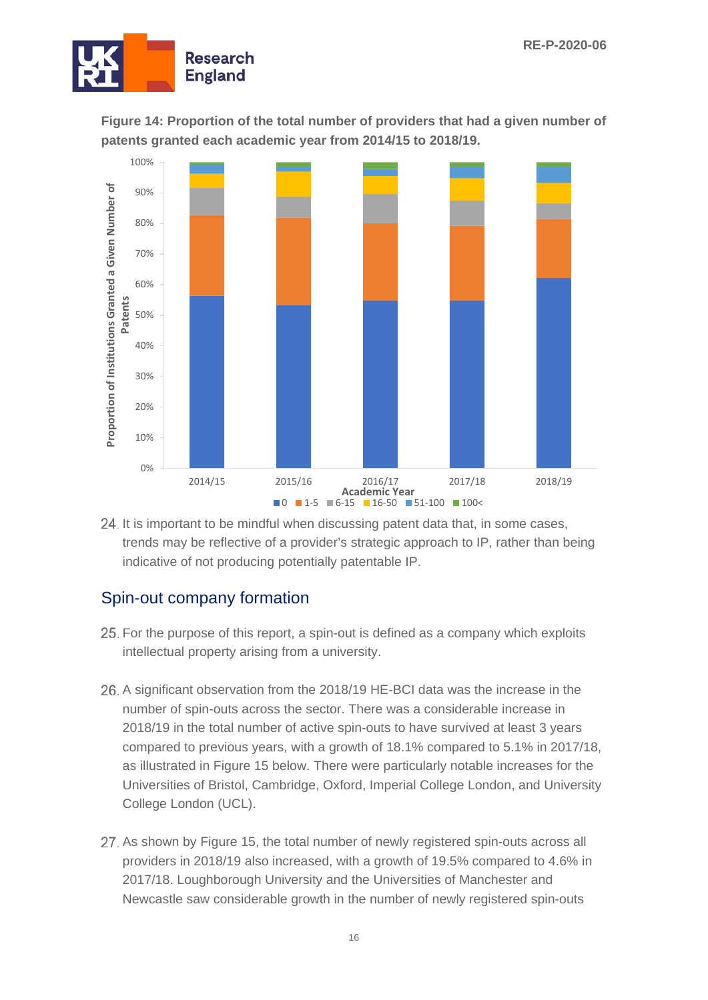

**Figure 14: Proportion of the total number of providers that had a given number of patents granted each academic year from 2014/15 to 2018/19.**



24. It is important to be mindful when discussing patent data that, in some cases, trends may be reflective of a provider's strategic approach to IP, rather than being indicative of not producing potentially patentable IP.

#### Spin-out company formation

- 25. For the purpose of this report, a spin-out is defined as a company which exploits intellectual property arising from a university.
- A significant observation from the 2018/19 HE-BCI data was the increase in the number of spin-outs across the sector. There was a considerable increase in 2018/19 in the total number of active spin-outs to have survived at least 3 years compared to previous years, with a growth of 18.1% compared to 5.1% in 2017/18, as illustrated in Figure 15 below. There were particularly notable increases for the Universities of Bristol, Cambridge, Oxford, Imperial College London, and University College London (UCL).
- 27. As shown by Figure 15, the total number of newly registered spin-outs across all providers in 2018/19 also increased, with a growth of 19.5% compared to 4.6% in 2017/18. Loughborough University and the Universities of Manchester and Newcastle saw considerable growth in the number of newly registered spin-outs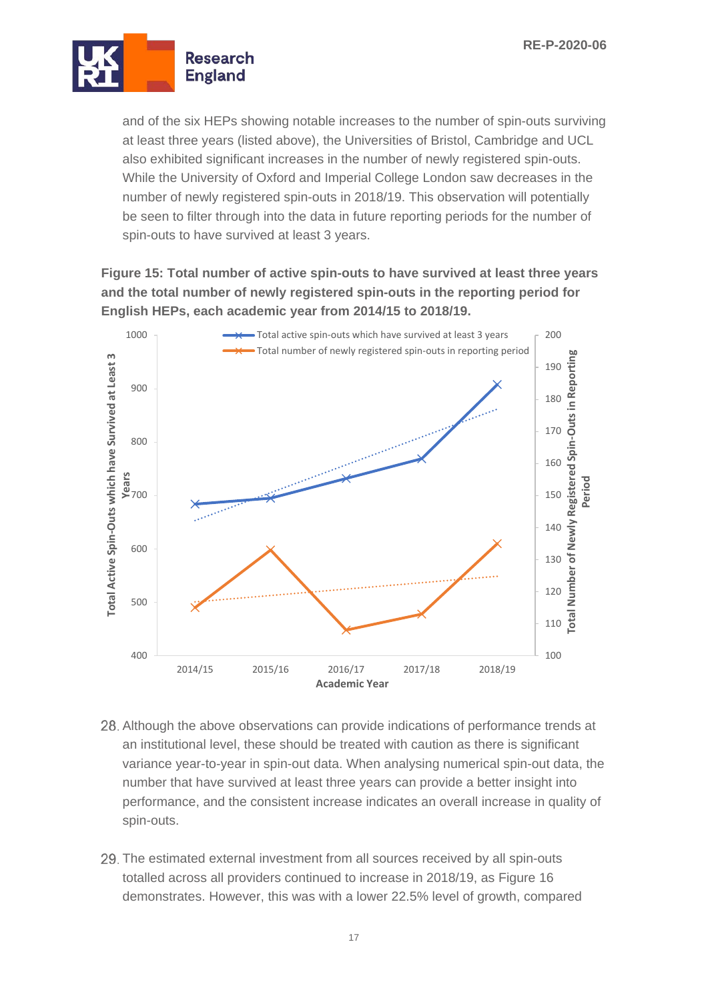

and of the six HEPs showing notable increases to the number of spin-outs surviving at least three years (listed above), the Universities of Bristol, Cambridge and UCL also exhibited significant increases in the number of newly registered spin-outs. While the University of Oxford and Imperial College London saw decreases in the number of newly registered spin-outs in 2018/19. This observation will potentially be seen to filter through into the data in future reporting periods for the number of spin-outs to have survived at least 3 years.

**Figure 15: Total number of active spin-outs to have survived at least three years and the total number of newly registered spin-outs in the reporting period for English HEPs, each academic year from 2014/15 to 2018/19.**



- Although the above observations can provide indications of performance trends at an institutional level, these should be treated with caution as there is significant variance year-to-year in spin-out data. When analysing numerical spin-out data, the number that have survived at least three years can provide a better insight into performance, and the consistent increase indicates an overall increase in quality of spin-outs.
- 29. The estimated external investment from all sources received by all spin-outs totalled across all providers continued to increase in 2018/19, as Figure 16 demonstrates. However, this was with a lower 22.5% level of growth, compared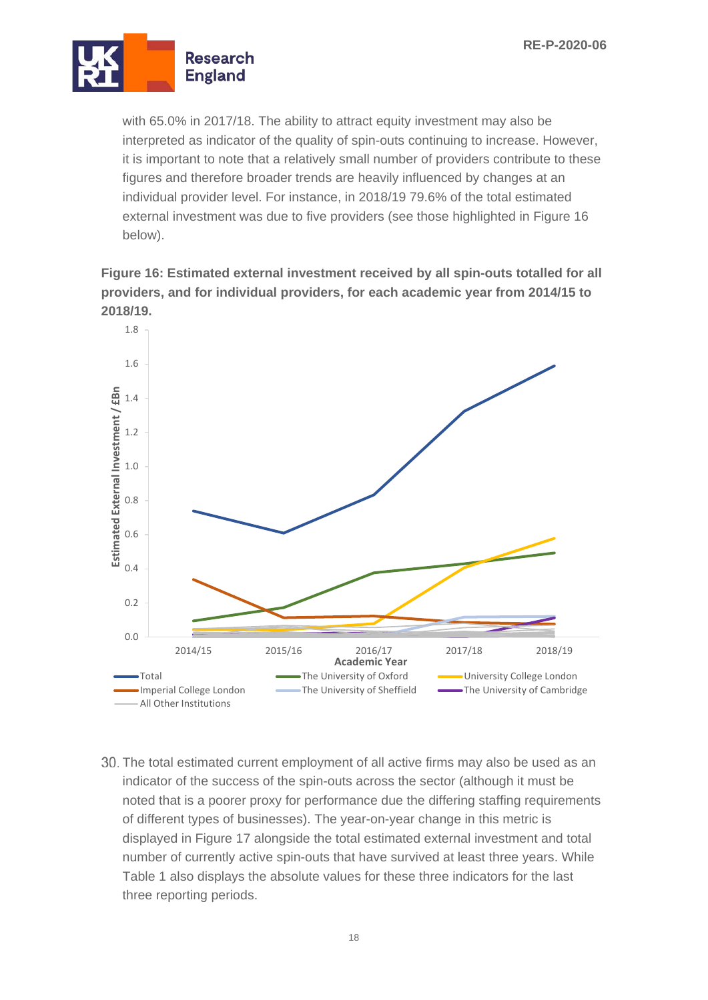

with 65.0% in 2017/18. The ability to attract equity investment may also be interpreted as indicator of the quality of spin-outs continuing to increase. However, it is important to note that a relatively small number of providers contribute to these figures and therefore broader trends are heavily influenced by changes at an individual provider level. For instance, in 2018/19 79.6% of the total estimated external investment was due to five providers (see those highlighted in Figure 16 below).

**Figure 16: Estimated external investment received by all spin-outs totalled for all providers, and for individual providers, for each academic year from 2014/15 to 2018/19.**



30. The total estimated current employment of all active firms may also be used as an indicator of the success of the spin-outs across the sector (although it must be noted that is a poorer proxy for performance due the differing staffing requirements of different types of businesses). The year-on-year change in this metric is displayed in Figure 17 alongside the total estimated external investment and total number of currently active spin-outs that have survived at least three years. While Table 1 also displays the absolute values for these three indicators for the last three reporting periods.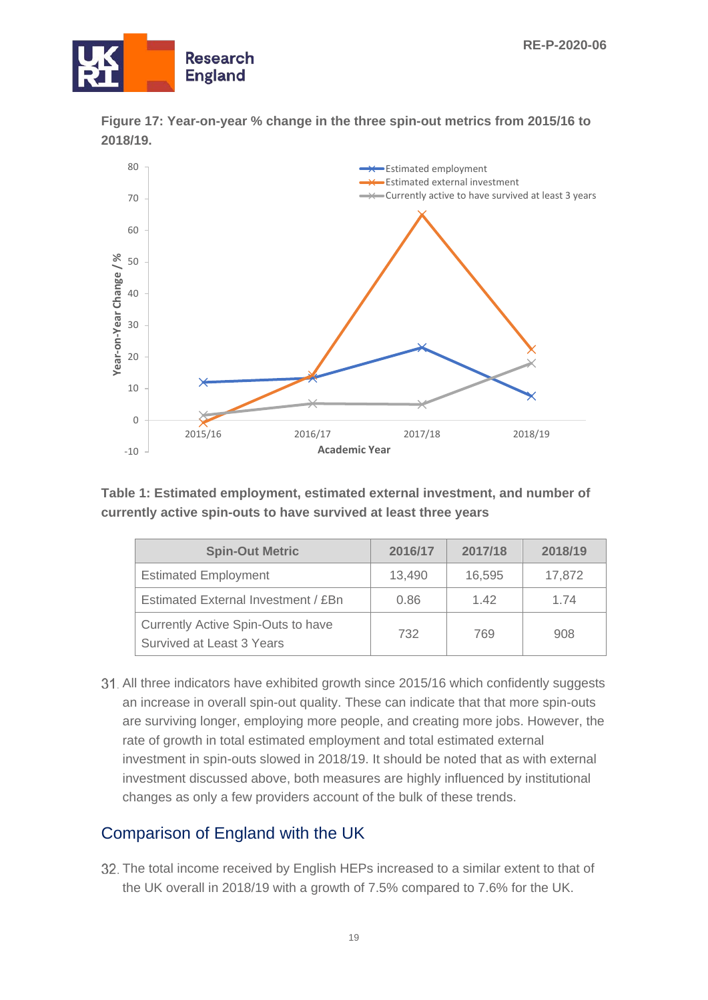



**Figure 17: Year-on-year % change in the three spin-out metrics from 2015/16 to 2018/19.**

**Table 1: Estimated employment, estimated external investment, and number of currently active spin-outs to have survived at least three years**

| <b>Spin-Out Metric</b>                                          | 2016/17 | 2017/18 | 2018/19 |  |
|-----------------------------------------------------------------|---------|---------|---------|--|
| <b>Estimated Employment</b>                                     | 13,490  | 16,595  | 17,872  |  |
| Estimated External Investment / £Bn                             | 0.86    | 142     | 1 74    |  |
| Currently Active Spin-Outs to have<br>Survived at Least 3 Years | 732     | 769     | 908     |  |

All three indicators have exhibited growth since 2015/16 which confidently suggests an increase in overall spin-out quality. These can indicate that that more spin-outs are surviving longer, employing more people, and creating more jobs. However, the rate of growth in total estimated employment and total estimated external investment in spin-outs slowed in 2018/19. It should be noted that as with external investment discussed above, both measures are highly influenced by institutional changes as only a few providers account of the bulk of these trends.

#### Comparison of England with the UK

32. The total income received by English HEPs increased to a similar extent to that of the UK overall in 2018/19 with a growth of 7.5% compared to 7.6% for the UK.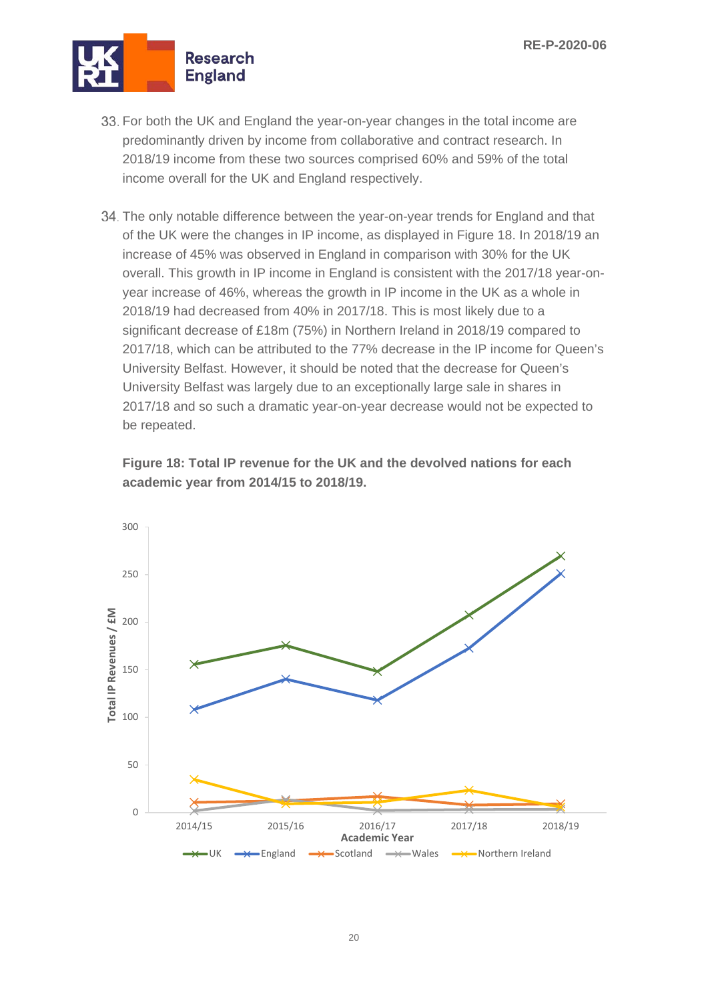

- 33. For both the UK and England the year-on-year changes in the total income are predominantly driven by income from collaborative and contract research. In 2018/19 income from these two sources comprised 60% and 59% of the total income overall for the UK and England respectively.
- 34. The only notable difference between the year-on-year trends for England and that of the UK were the changes in IP income, as displayed in Figure 18. In 2018/19 an increase of 45% was observed in England in comparison with 30% for the UK overall. This growth in IP income in England is consistent with the 2017/18 year-onyear increase of 46%, whereas the growth in IP income in the UK as a whole in 2018/19 had decreased from 40% in 2017/18. This is most likely due to a significant decrease of £18m (75%) in Northern Ireland in 2018/19 compared to 2017/18, which can be attributed to the 77% decrease in the IP income for Queen's University Belfast. However, it should be noted that the decrease for Queen's University Belfast was largely due to an exceptionally large sale in shares in 2017/18 and so such a dramatic year-on-year decrease would not be expected to be repeated.



**Figure 18: Total IP revenue for the UK and the devolved nations for each academic year from 2014/15 to 2018/19.**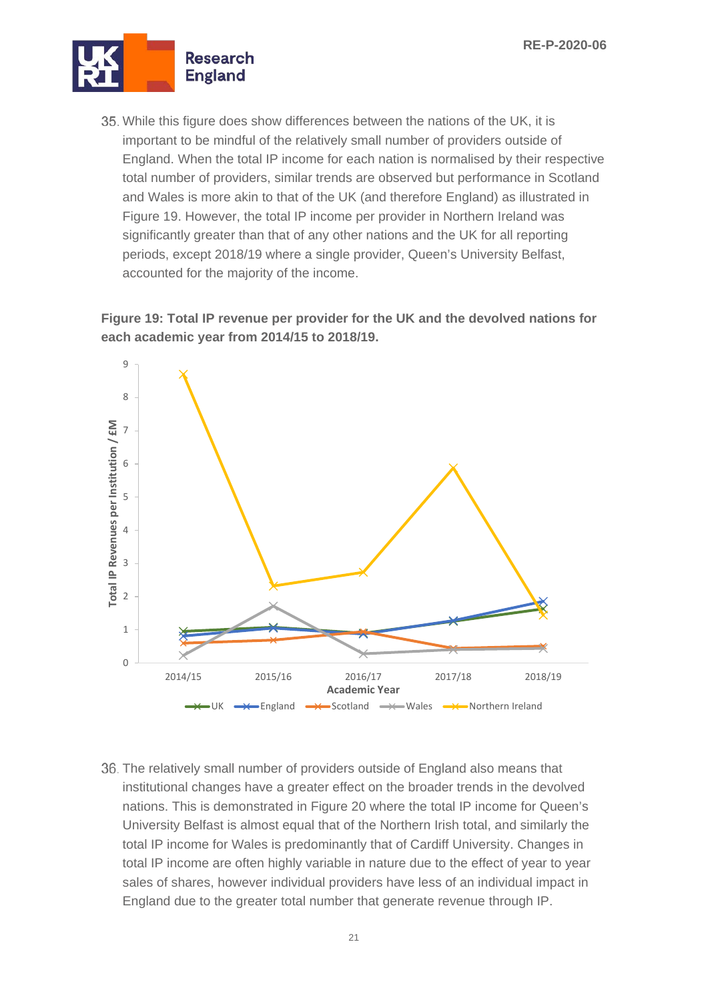

35. While this figure does show differences between the nations of the UK, it is important to be mindful of the relatively small number of providers outside of England. When the total IP income for each nation is normalised by their respective total number of providers, similar trends are observed but performance in Scotland and Wales is more akin to that of the UK (and therefore England) as illustrated in Figure 19. However, the total IP income per provider in Northern Ireland was significantly greater than that of any other nations and the UK for all reporting periods, except 2018/19 where a single provider, Queen's University Belfast, accounted for the majority of the income.

#### **Figure 19: Total IP revenue per provider for the UK and the devolved nations for each academic year from 2014/15 to 2018/19.**



36. The relatively small number of providers outside of England also means that institutional changes have a greater effect on the broader trends in the devolved nations. This is demonstrated in Figure 20 where the total IP income for Queen's University Belfast is almost equal that of the Northern Irish total, and similarly the total IP income for Wales is predominantly that of Cardiff University. Changes in total IP income are often highly variable in nature due to the effect of year to year sales of shares, however individual providers have less of an individual impact in England due to the greater total number that generate revenue through IP.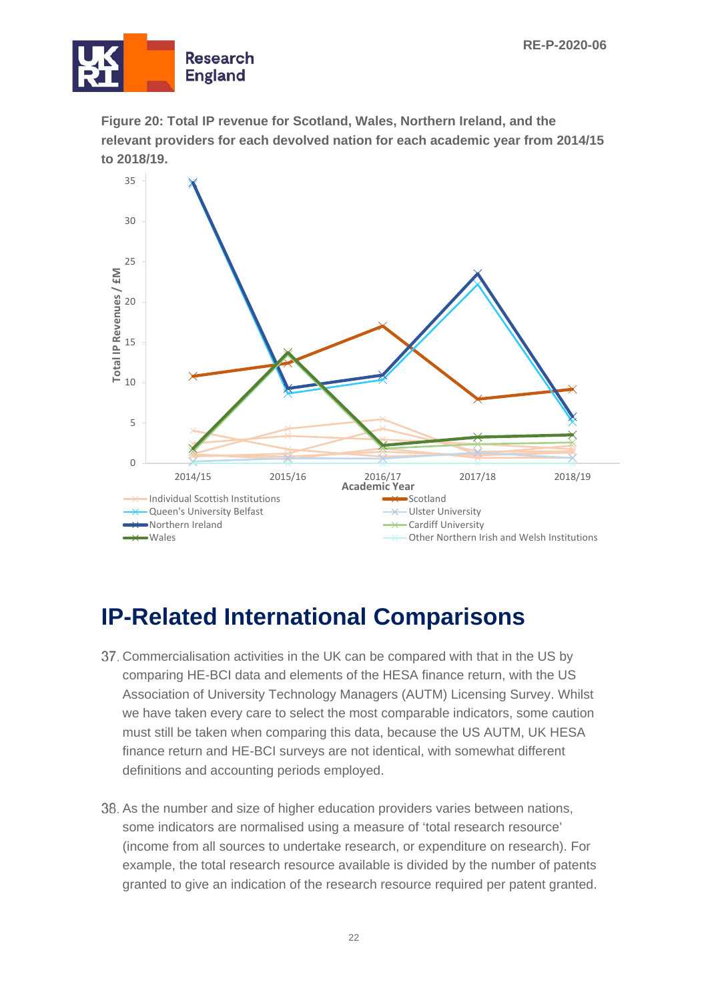

**Figure 20: Total IP revenue for Scotland, Wales, Northern Ireland, and the relevant providers for each devolved nation for each academic year from 2014/15 to 2018/19.**



## <span id="page-21-0"></span>**IP-Related International Comparisons**

- Commercialisation activities in the UK can be compared with that in the US by comparing HE-BCI data and elements of the HESA finance return, with the US Association of University Technology Managers (AUTM) Licensing Survey. Whilst we have taken every care to select the most comparable indicators, some caution must still be taken when comparing this data, because the US AUTM, UK HESA finance return and HE-BCI surveys are not identical, with somewhat different definitions and accounting periods employed.
- 38. As the number and size of higher education providers varies between nations, some indicators are normalised using a measure of 'total research resource' (income from all sources to undertake research, or expenditure on research). For example, the total research resource available is divided by the number of patents granted to give an indication of the research resource required per patent granted.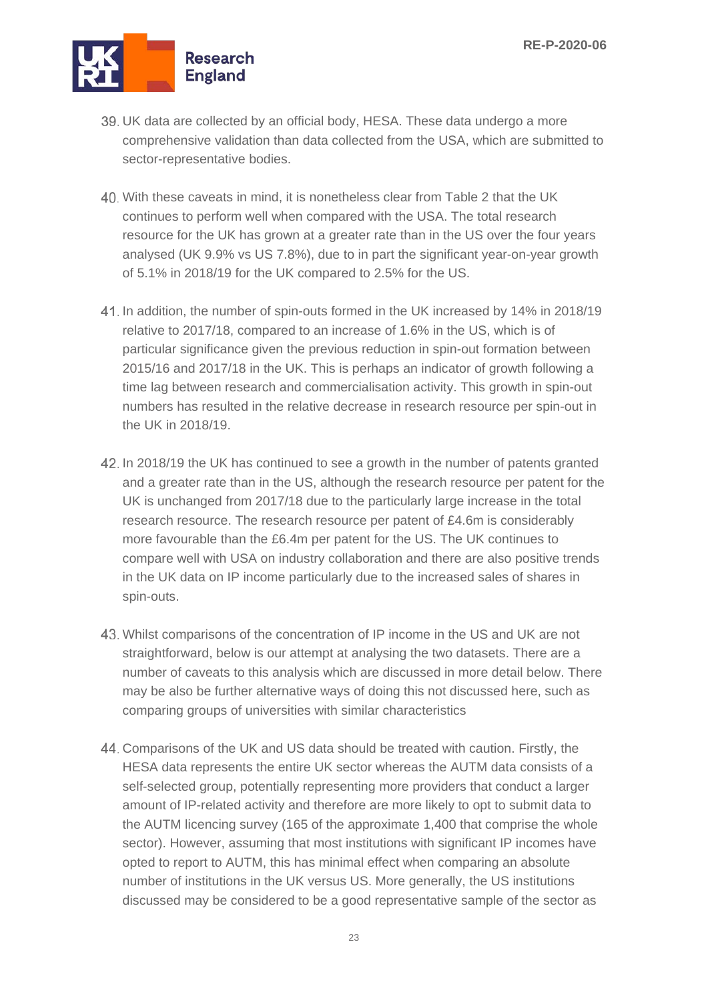

- UK data are collected by an official body, HESA. These data undergo a more comprehensive validation than data collected from the USA, which are submitted to sector-representative bodies.
- With these caveats in mind, it is nonetheless clear from Table 2 that the UK continues to perform well when compared with the USA. The total research resource for the UK has grown at a greater rate than in the US over the four years analysed (UK 9.9% vs US 7.8%), due to in part the significant year-on-year growth of 5.1% in 2018/19 for the UK compared to 2.5% for the US.
- In addition, the number of spin-outs formed in the UK increased by 14% in 2018/19 relative to 2017/18, compared to an increase of 1.6% in the US, which is of particular significance given the previous reduction in spin-out formation between 2015/16 and 2017/18 in the UK. This is perhaps an indicator of growth following a time lag between research and commercialisation activity. This growth in spin-out numbers has resulted in the relative decrease in research resource per spin-out in the UK in 2018/19.
- 42. In 2018/19 the UK has continued to see a growth in the number of patents granted and a greater rate than in the US, although the research resource per patent for the UK is unchanged from 2017/18 due to the particularly large increase in the total research resource. The research resource per patent of £4.6m is considerably more favourable than the £6.4m per patent for the US. The UK continues to compare well with USA on industry collaboration and there are also positive trends in the UK data on IP income particularly due to the increased sales of shares in spin-outs.
- Whilst comparisons of the concentration of IP income in the US and UK are not straightforward, below is our attempt at analysing the two datasets. There are a number of caveats to this analysis which are discussed in more detail below. There may be also be further alternative ways of doing this not discussed here, such as comparing groups of universities with similar characteristics
- Comparisons of the UK and US data should be treated with caution. Firstly, the HESA data represents the entire UK sector whereas the AUTM data consists of a self-selected group, potentially representing more providers that conduct a larger amount of IP-related activity and therefore are more likely to opt to submit data to the AUTM licencing survey (165 of the approximate 1,400 that comprise the whole sector). However, assuming that most institutions with significant IP incomes have opted to report to AUTM, this has minimal effect when comparing an absolute number of institutions in the UK versus US. More generally, the US institutions discussed may be considered to be a good representative sample of the sector as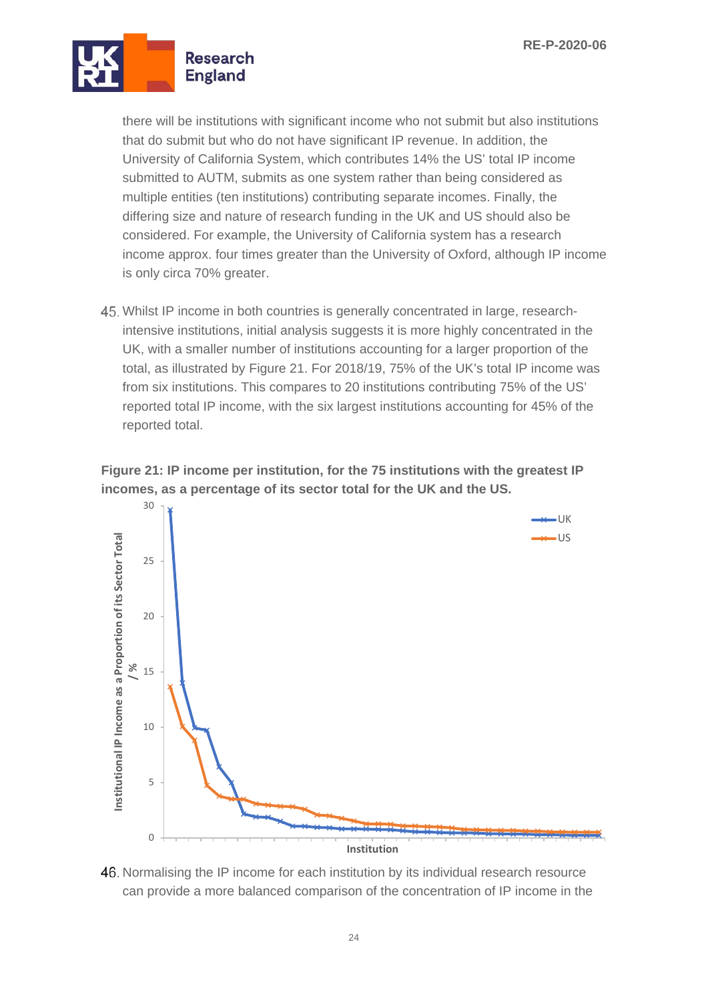

there will be institutions with significant income who not submit but also institutions that do submit but who do not have significant IP revenue. In addition, the University of California System, which contributes 14% the US' total IP income submitted to AUTM, submits as one system rather than being considered as multiple entities (ten institutions) contributing separate incomes. Finally, the differing size and nature of research funding in the UK and US should also be considered. For example, the University of California system has a research income approx. four times greater than the University of Oxford, although IP income is only circa 70% greater.

Whilst IP income in both countries is generally concentrated in large, researchintensive institutions, initial analysis suggests it is more highly concentrated in the UK, with a smaller number of institutions accounting for a larger proportion of the total, as illustrated by Figure 21. For 2018/19, 75% of the UK's total IP income was from six institutions. This compares to 20 institutions contributing 75% of the US' reported total IP income, with the six largest institutions accounting for 45% of the reported total.



**Figure 21: IP income per institution, for the 75 institutions with the greatest IP incomes, as a percentage of its sector total for the UK and the US.**

46. Normalising the IP income for each institution by its individual research resource can provide a more balanced comparison of the concentration of IP income in the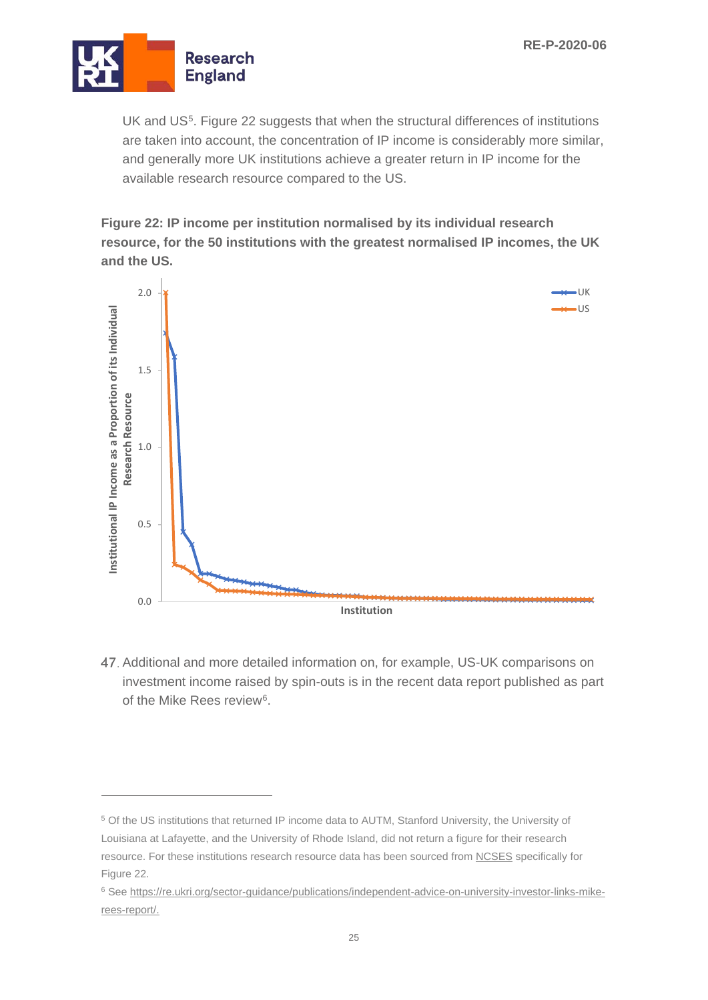

UK and US<sup>5</sup>. Figure 22 suggests that when the structural differences of institutions are taken into account, the concentration of IP income is considerably more similar, and generally more UK institutions achieve a greater return in IP income for the available research resource compared to the US.

**Figure 22: IP income per institution normalised by its individual research resource, for the 50 institutions with the greatest normalised IP incomes, the UK and the US.**



Additional and more detailed information on, for example, US-UK comparisons on investment income raised by spin-outs is in the recent data report published as part of the Mike Rees review[6.](#page-24-1)

<span id="page-24-0"></span><sup>5</sup> Of the US institutions that returned IP income data to AUTM, Stanford University, the University of Louisiana at Lafayette, and the University of Rhode Island, did not return a figure for their research resource. For these institutions research resource data has been sourced from [NCSES](https://ncsesdata.nsf.gov/herd/2018/html/herd18-dt-tab020.html) specifically for Figure 22.

<span id="page-24-1"></span><sup>6</sup> See [https://re.ukri.org/sector-guidance/publications/independent-advice-on-university-investor-links-mike](https://re.ukri.org/sector-guidance/publications/independent-advice-on-university-investor-links-mike-rees-report/)[rees-report/.](https://re.ukri.org/sector-guidance/publications/independent-advice-on-university-investor-links-mike-rees-report/)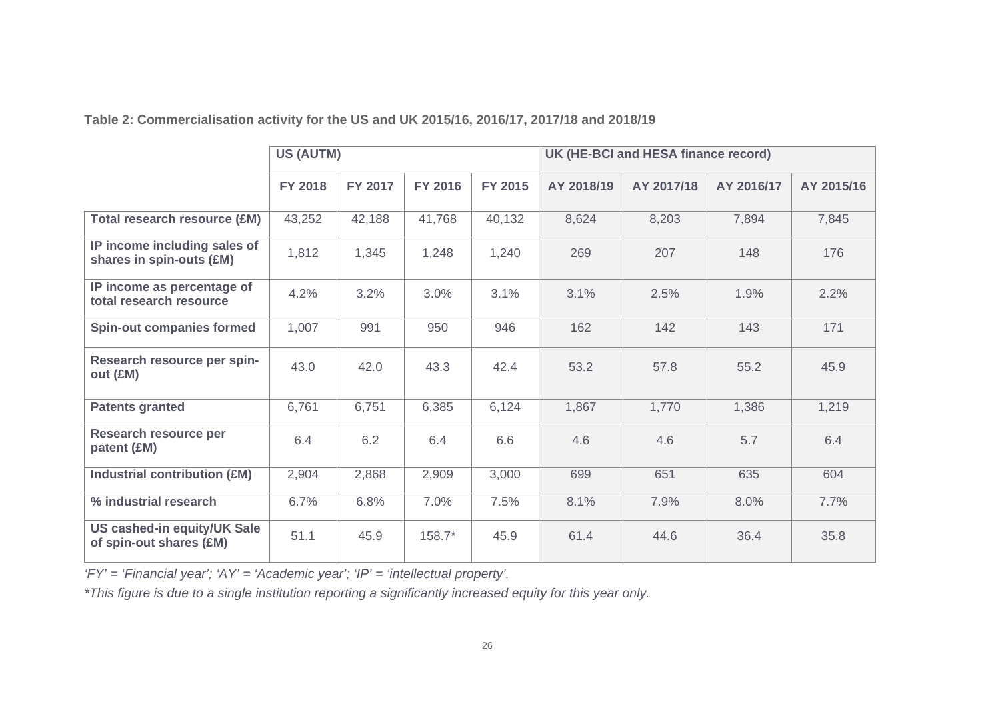**Table 2: Commercialisation activity for the US and UK 2015/16, 2016/17, 2017/18 and 2018/19**

|                                                          | <b>US (AUTM)</b> |         |          |         | UK (HE-BCI and HESA finance record) |            |            |            |
|----------------------------------------------------------|------------------|---------|----------|---------|-------------------------------------|------------|------------|------------|
|                                                          | <b>FY 2018</b>   | FY 2017 | FY 2016  | FY 2015 | AY 2018/19                          | AY 2017/18 | AY 2016/17 | AY 2015/16 |
| <b>Total research resource (£M)</b>                      | 43,252           | 42,188  | 41,768   | 40,132  | 8,624                               | 8,203      | 7,894      | 7,845      |
| IP income including sales of<br>shares in spin-outs (£M) | 1,812            | 1,345   | 1,248    | 1,240   | 269                                 | 207        | 148        | 176        |
| IP income as percentage of<br>total research resource    | 4.2%             | 3.2%    | 3.0%     | 3.1%    | 3.1%                                | 2.5%       | 1.9%       | 2.2%       |
| <b>Spin-out companies formed</b>                         | 1,007            | 991     | 950      | 946     | 162                                 | 142        | 143        | 171        |
| Research resource per spin-<br>out (EM)                  | 43.0             | 42.0    | 43.3     | 42.4    | 53.2                                | 57.8       | 55.2       | 45.9       |
| <b>Patents granted</b>                                   | 6,761            | 6,751   | 6,385    | 6,124   | 1,867                               | 1,770      | 1,386      | 1,219      |
| Research resource per<br>patent (£M)                     | 6.4              | 6.2     | 6.4      | 6.6     | 4.6                                 | 4.6        | 5.7        | 6.4        |
| <b>Industrial contribution (£M)</b>                      | 2,904            | 2,868   | 2,909    | 3,000   | 699                                 | 651        | 635        | 604        |
| % industrial research                                    | 6.7%             | 6.8%    | 7.0%     | 7.5%    | 8.1%                                | 7.9%       | 8.0%       | 7.7%       |
| US cashed-in equity/UK Sale<br>of spin-out shares (£M)   | 51.1             | 45.9    | $158.7*$ | 45.9    | 61.4                                | 44.6       | 36.4       | 35.8       |

*'FY' = 'Financial year'; 'AY' = 'Academic year'; 'IP' = 'intellectual property'.*

*\*This figure is due to a single institution reporting a significantly increased equity for this year only.*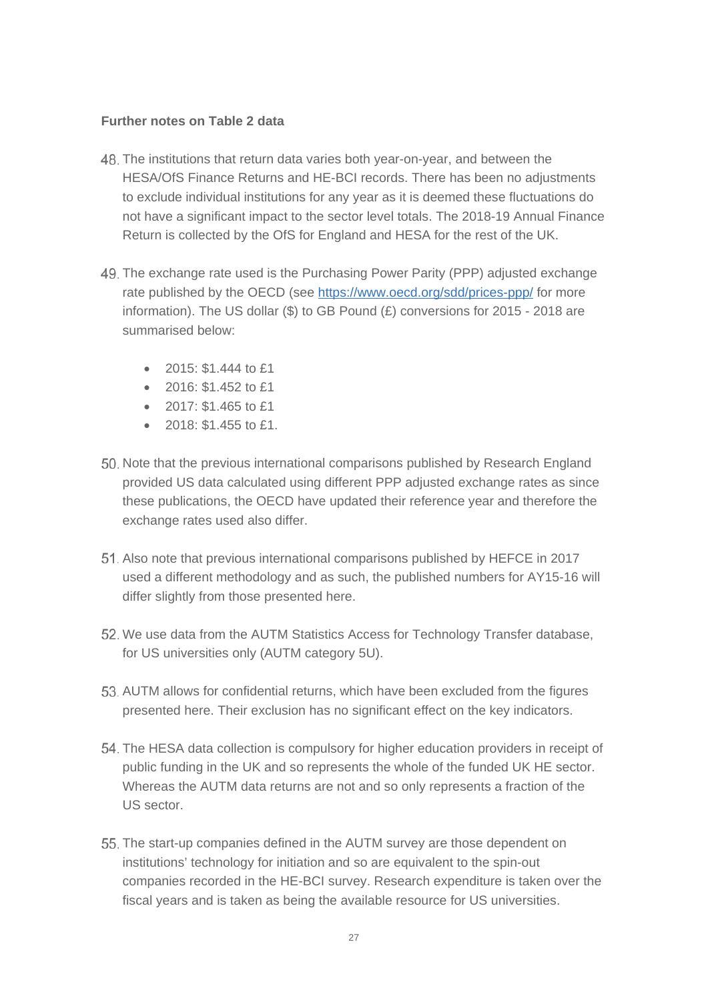#### **Further notes on Table 2 data**

- The institutions that return data varies both year-on-year, and between the HESA/OfS Finance Returns and HE-BCI records. There has been no adjustments to exclude individual institutions for any year as it is deemed these fluctuations do not have a significant impact to the sector level totals. The 2018-19 Annual Finance Return is collected by the OfS for England and HESA for the rest of the UK.
- The exchange rate used is the Purchasing Power Parity (PPP) adjusted exchange rate published by the OECD (see<https://www.oecd.org/sdd/prices-ppp/> for more information). The US dollar (\$) to GB Pound ( $\pounds$ ) conversions for 2015 - 2018 are summarised below:
	- 2015:  $$1.444$  to £1
	- $2016: $1,452$  to  $$1$
	- 2017: \$1.465 to £1
	- 2018: \$1.455 to £1.
- 50. Note that the previous international comparisons published by Research England provided US data calculated using different PPP adjusted exchange rates as since these publications, the OECD have updated their reference year and therefore the exchange rates used also differ.
- Also note that previous international comparisons published by HEFCE in 2017 used a different methodology and as such, the published numbers for AY15-16 will differ slightly from those presented here.
- 52. We use data from the AUTM Statistics Access for Technology Transfer database. for US universities only (AUTM category 5U).
- 53. AUTM allows for confidential returns, which have been excluded from the figures presented here. Their exclusion has no significant effect on the key indicators.
- The HESA data collection is compulsory for higher education providers in receipt of public funding in the UK and so represents the whole of the funded UK HE sector. Whereas the AUTM data returns are not and so only represents a fraction of the US sector.
- The start-up companies defined in the AUTM survey are those dependent on institutions' technology for initiation and so are equivalent to the spin-out companies recorded in the HE-BCI survey. Research expenditure is taken over the fiscal years and is taken as being the available resource for US universities.